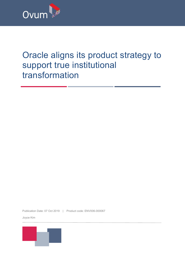

# Oracle aligns its product strategy to support true institutional transformation

Publication Date: 07 Oct 2019 | Product code: ENV006-000067

Joyce Kim

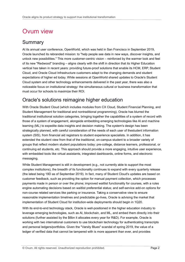## Ovum view

#### Summary

 At its annual user conference, OpenWorld, which was held in San Francisco in September 2019, Oracle launched its rebranded mission: to "help people see data in new ways, discover insights, and unlock new possibilities." This more customer-centric vision – reinforced by the warmer look and feel of its new "Redwood" branding – aligns clearly with the shift in direction that its Higher Education vertical has taken in recent years: providing future-proof solutions that enable its HCM, ERP, Student Cloud, and Oracle Cloud Infrastructure customers adapt to the changing demands and student expectations of higher ed today. While sessions at OpenWorld shared updates to Oracle's Student Cloud system and other technology enhancements delivered in the past year, there was also a noticeable focus on institutional strategy: the simultaneous cultural or business transformation that must occur for schools to maximize their ROI.

### Oracle's solutions reimagine higher education

 With Oracle Student Cloud (which includes modules from CX Cloud, Student Financial Planning, and Student Management for traditional and nontraditional programming), Oracle has blurred the traditional institutional solution categories, bringing together the capabilities of a system of record with those of a system of engagement, alongside embedding emerging technologies like AI and machine learning (ML) to expedite data insights and decision making. The system's design has been strategically planned, with careful consideration of the needs of each user of thestudent information system (SIS), from financial aid registrars to student experience specialists. In addition, it has extended the student view from that of the traditional, on-campus student to a broader variety of groups that reflect modern student populations today: pre-college, distance learners, professional, or continuing ed students, etc. This approach should provide a more engaging, intuitive user experience, with embedded tools like virtual assistants, integrated dashboards, online forms, and electronic messaging.

 While Student Management is still in development (e.g., not currently able to support the most complex institutions), the breadth of its functionality continues to expand with every quarterly release (the latest being 19D as of September 2019). In fact, many of Student Cloud's updates are based on customer feedback, such as providing the option for manual payment collection, which processes payments made in person or over the phone; improved waitlist functionality for courses, with a rules engine automating decisions based on waitlist preferential status; and self-service add-on options for non-course related services like parking or insurance. Taking a conservative view to ensure reasonable implementation timelines and predictable go-lives, Oracle is advising the market that implementation of Student Cloud for institution-wide deployments should begin in 1Q20.

 With its end-to-end technology stack, Oracle is well-positioned in the higher education industry to leverage emerging technologies, such as AI, blockchain, and ML, and embed them directly into their solutions (further assisted by the \$6bn it allocates every year for R&D). For example, Oracle is working with two international customers to use blockchain technology for authenticating transcripts and personal ledgers/portfolios. Given the "Varsity Blues" scandal of spring 2019, the value of a ledger of verified data that cannot be tampered with is more apparent than ever, and provides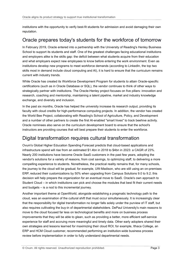institutions with the opportunity to verify best-fit students for admission and avoid damaging their own reputation.

#### Oracle prepares today's students for the workforce of tomorrow

 In February 2019, Oracle entered into a partnership with the University of Reading's Henley Business School to support its students and staff. One of the greatest challenges facing educational institutions and employers alike is the skills gap: the deficit between what students acquire from their education and what employers expect new employees to know before entering the work environment. Even as institutions develop new programs to meet workforce demands (according to LinkedIn, the top two skills most in demand include cloud computing and AI), it is hard to ensure that the curriculum remains current with industry trends.

 While Oracle has created its Workforce Development Program for students to attain Oracle-specific certifications (such as in Oracle Database or SQL), the vendor continues to think of other ways to strategically partner with institutions. The Oracle-Henley project focuses on five pillars: innovation and research, coaching and mentorship, maintaining a talent pipeline, market and industry knowledge exchange, and diversity and inclusion.

 In the past six months, Oracle has helped the university increase its research output, providing its faculty with cloud credits for high-performance computing projects. In addition, the vendor has created the World Bee Project, collaborating with Reading's School of Agriculture, Policy, and Development and a number of other partners to create the first AI-enabled "smart hives" to track beehive activity. Oracle nominees also serve on the curriculum development board to ensure that the school's instructors are providing courses that will best prepare their students to enter the workforce.

#### Digital transformation requires cultural transformation

 Ovum's Global Higher Education Spending Forecast predicts that cloud-based applications and infrastructure spend will rise from an estimated \$1.4bn in 2018 to \$4bn in 2023: a CAGR of 23%. Nearly 200 institutions have become Oracle SaaS customers in the past few years, adopting the vendor's solutions for a variety of reasons, from cost savings, to optimizing staff, to delivering a more compelling experience to students. Nonetheless, the practical reality remains that, for many schools, the journey to the cloud will be gradual; for example, UW-Madison, who are still using an on-premises ERP, reduced their customizations by 50% when upgrading from Campus Solutions 9.0 to 9.2; this decision will help prepare the organization for an eventual move to SaaS. Oracle's own approach to Student Cloud – in which institutions can pick and choose the modules that best fit their current needs and budgets – is a nod to this incremental journey.

 Another important theme at OpenWorld, alongside establishing a pragmatic technology path to the cloud, was an examination of the cultural shift that must occur simultaneously. It is increasingly clear that the responsibility for digital transformation no longer falls solely under the purview of IT staff, but also requires cultivating the buy-in of departmental stakeholders. DePaul University's main reasons to move to the cloud focused far less on technological benefits and more on business process improvements that they will be able to glean, such as providing a better, more efficient self-service experience for staff and accruing more meaningful and timely data. Other early adopters shared their own strategies and lessons learned for maximizing their cloud ROI; for example, Ithaca College, an ERP and HCM Cloud customer, recommended performing an institution-wide business process review before implementation in order to fully understand departmental needs.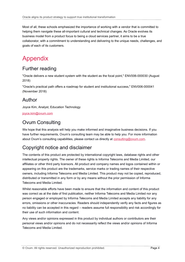Most of all, these schools emphasized the importance of working with a vendor that is committed to helping them navigate these all-important cultural and technical changes. As Oracle evolves its business model from a product focus to being a cloud services partner, it aims to be a true collaborator, with a commitment to understanding and delivering to the unique needs, challenges, and goals of each of its customers.

## Appendix

#### Further reading

 "Oracle delivers a new student system with the student as the focal point," ENV006-000030 (August 2018)

 "Oracle's practical path offers a roadmap for student and institutional success," ENV006-000041 (November 2018)

#### Author

Joyce Kim, Analyst, Education Technology

[joyce.kim@ovum.com](mailto:joyce.kim@ovum.com) 

### Ovum Consulting

 We hope that this analysis will help you make informed and imaginative business decisions. If you have further requirements, Ovum's consulting team may be able to help you. For more information about Ovum's consulting capabilities, please contact us directly at [consulting@ovum.com.](mailto:consulting@ovum.com)

### Copyright notice and disclaimer

 The contents of this product are protected by international copyright laws, database rights and other intellectual property rights. The owner of these rights is Informa Telecoms and Media Limited, our affiliates or other third party licensors. All product and company names and logos contained within or appearing on this product are the trademarks, service marks or trading names of their respective owners, including Informa Telecoms and Media Limited. This product may not be copied, reproduced, distributed or transmitted in any form or by any means without the prior permission of Informa Telecoms and Media Limited.

 Whilst reasonable efforts have been made to ensure that the information and content of this product was correct as at the date of first publication, neither Informa Telecoms and Media Limited nor any person engaged or employed by Informa Telecoms and Media Limited accepts any liability for any errors, omissions or other inaccuracies. Readers should independently verify any facts and figures as no liability can be accepted in this regard – readers assume full responsibility and risk accordingly for their use of such information and content.

 Any views and/or opinions expressed in this product by individual authors or contributors are their personal views and/or opinions and do not necessarily reflect the views and/or opinions of Informa Telecoms and Media Limited.